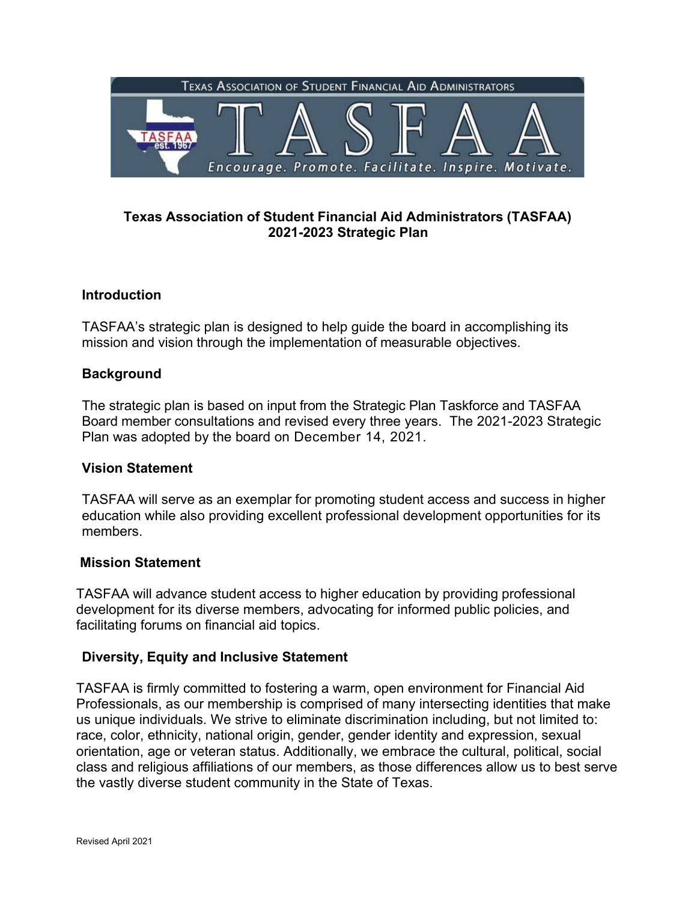

# **Texas Association of Student Financial Aid Administrators (TASFAA) 2021-2023 Strategic Plan**

# **Introduction**

TASFAA's strategic plan is designed to help guide the board in accomplishing its mission and vision through the implementation of measurable objectives.

## **Background**

The strategic plan is based on input from the Strategic Plan Taskforce and TASFAA Board member consultations and revised every three years. The 2021-2023 Strategic Plan was adopted by the board on December 14, 2021.

#### **Vision Statement**

TASFAA will serve as an exemplar for promoting student access and success in higher education while also providing excellent professional development opportunities for its members.

#### **Mission Statement**

TASFAA will advance student access to higher education by providing professional development for its diverse members, advocating for informed public policies, and facilitating forums on financial aid topics.

## **Diversity, Equity and Inclusive Statement**

TASFAA is firmly committed to fostering a warm, open environment for Financial Aid Professionals, as our membership is comprised of many intersecting identities that make us unique individuals. We strive to eliminate discrimination including, but not limited to: race, color, ethnicity, national origin, gender, gender identity and expression, sexual orientation, age or veteran status. Additionally, we embrace the cultural, political, social class and religious affiliations of our members, as those differences allow us to best serve the vastly diverse student community in the State of Texas.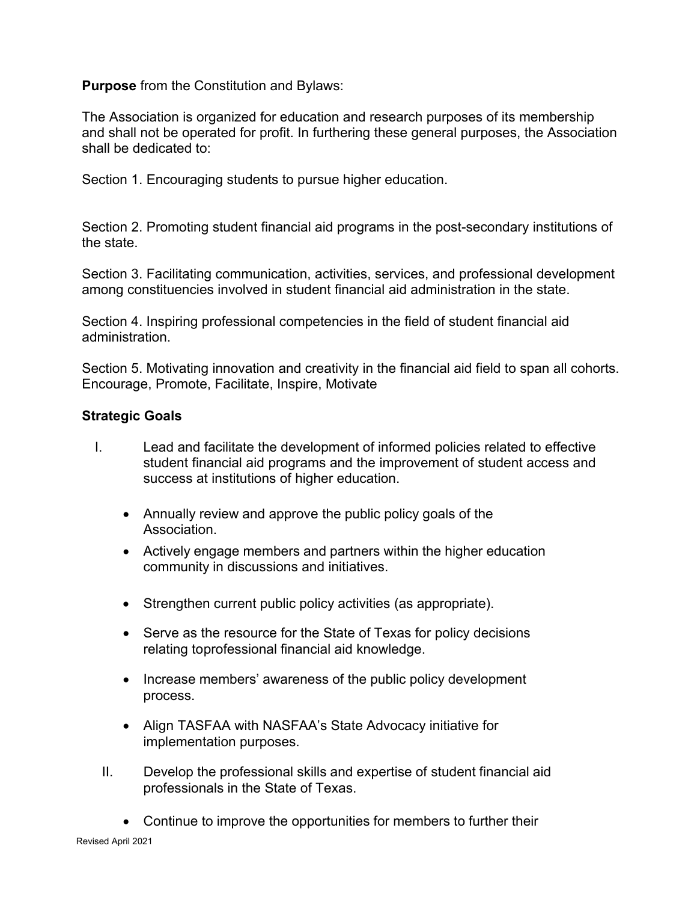**Purpose** from the Constitution and Bylaws:

The Association is organized for education and research purposes of its membership and shall not be operated for profit. In furthering these general purposes, the Association shall be dedicated to:

Section 1. Encouraging students to pursue higher education.

Section 2. Promoting student financial aid programs in the post-secondary institutions of the state.

Section 3. Facilitating communication, activities, services, and professional development among constituencies involved in student financial aid administration in the state.

Section 4. Inspiring professional competencies in the field of student financial aid administration.

Section 5. Motivating innovation and creativity in the financial aid field to span all cohorts. Encourage, Promote, Facilitate, Inspire, Motivate

### **Strategic Goals**

- I. Lead and facilitate the development of informed policies related to effective student financial aid programs and the improvement of student access and success at institutions of higher education.
	- Annually review and approve the public policy goals of the Association.
	- Actively engage members and partners within the higher education community in discussions and initiatives.
	- Strengthen current public policy activities (as appropriate).
	- Serve as the resource for the State of Texas for policy decisions relating to professional financial aid knowledge.
	- Increase members' awareness of the public policy development process.
	- Align TASFAA with NASFAA's State Advocacy initiative for implementation purposes.
	- II. Develop the professional skills and expertise of student financial aid professionals in the State of Texas.
		- Continue to improve the opportunities for members to further their